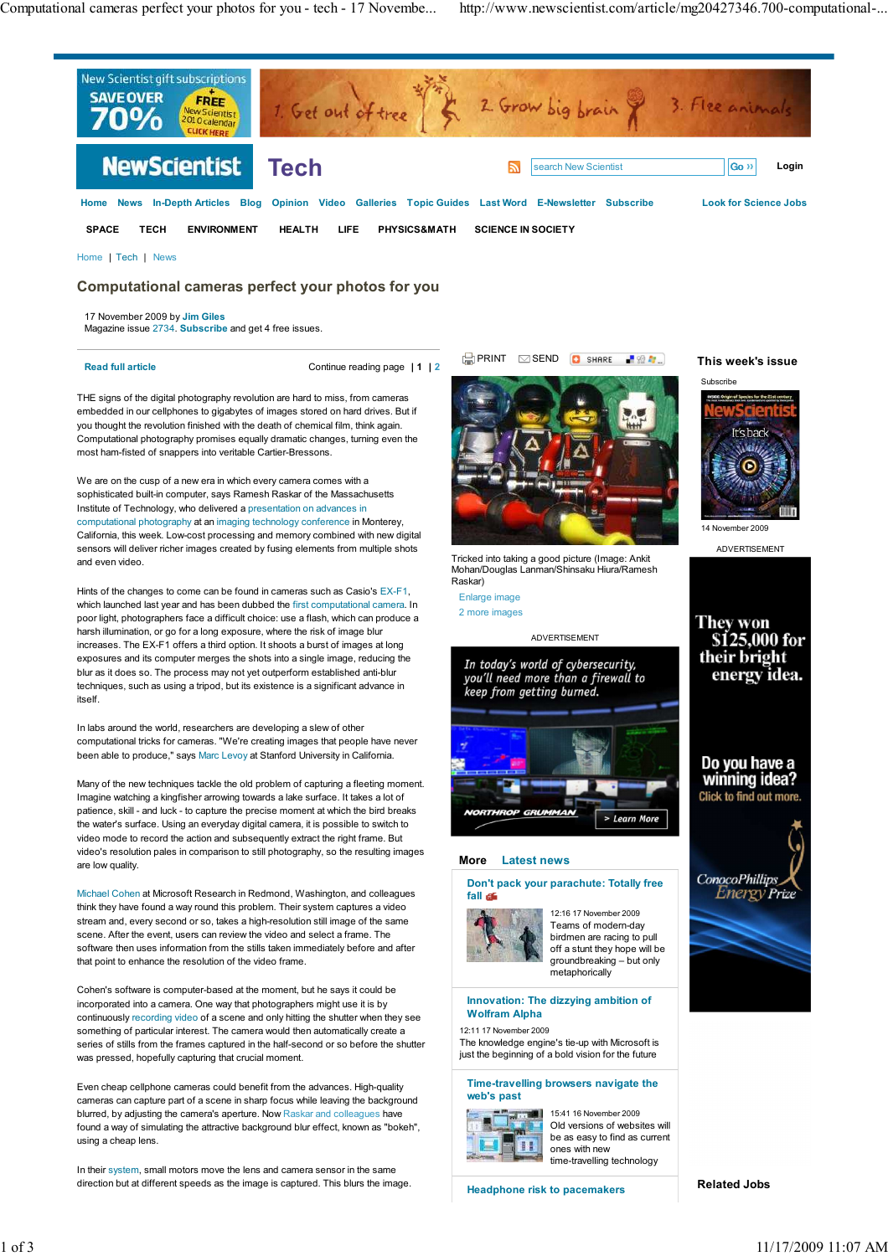

Home | Tech | News

## **Computational cameras perfect your photos for you**

17 November 2009 by **Jim Giles**

Magazine issue 2734. **Subscribe** and get 4 free issues.

**Read full article** Continue reading page **| 1 | 2**

THE signs of the digital photography revolution are hard to miss, from cameras embedded in our cellphones to gigabytes of images stored on hard drives. But if you thought the revolution finished with the death of chemical film, think again. Computational photography promises equally dramatic changes, turning even the most ham-fisted of snappers into veritable Cartier-Bressons.

We are on the cusp of a new era in which every camera comes with a sophisticated built-in computer, says Ramesh Raskar of the Massachusetts Institute of Technology, who delivered a presentation on advances in computational photography at an imaging technology conference in Monterey, California, this week. Low-cost processing and memory combined with new digital sensors will deliver richer images created by fusing elements from multiple shots and even video.

Hints of the changes to come can be found in cameras such as Casio's EX-F1, which launched last year and has been dubbed the first computational camera. In poor light, photographers face a difficult choice: use a flash, which can produce a harsh illumination, or go for a long exposure, where the risk of image blur increases. The EX-F1 offers a third option. It shoots a burst of images at long exposures and its computer merges the shots into a single image, reducing the blur as it does so. The process may not yet outperform established anti-blur techniques, such as using a tripod, but its existence is a significant advance in itself.

In labs around the world, researchers are developing a slew of other computational tricks for cameras. "We're creating images that people have never been able to produce," says Marc Levoy at Stanford University in California.

Many of the new techniques tackle the old problem of capturing a fleeting moment. Imagine watching a kingfisher arrowing towards a lake surface. It takes a lot of patience, skill - and luck - to capture the precise moment at which the bird breaks the water's surface. Using an everyday digital camera, it is possible to switch to video mode to record the action and subsequently extract the right frame. But video's resolution pales in comparison to still photography, so the resulting images are low quality.

Michael Cohen at Microsoft Research in Redmond, Washington, and colleagues think they have found a way round this problem. Their system captures a video stream and, every second or so, takes a high-resolution still image of the same scene. After the event, users can review the video and select a frame. The software then uses information from the stills taken immediately before and after that point to enhance the resolution of the video frame.

Cohen's software is computer-based at the moment, but he says it could be incorporated into a camera. One way that photographers might use it is by continuously recording video of a scene and only hitting the shutter when they see something of particular interest. The camera would then automatically create a series of stills from the frames captured in the half-second or so before the shutter was pressed, hopefully capturing that crucial moment.

Even cheap cellphone cameras could benefit from the advances. High-quality cameras can capture part of a scene in sharp focus while leaving the background blurred, by adjusting the camera's aperture. Now Raskar and colleagues have found a way of simulating the attractive background blur effect, known as "bokeh", using a cheap lens.

In their system, small motors move the lens and camera sensor in the same direction but at different speeds as the image is captured. This blurs the image.



Tricked into taking a good picture (Image: Ankit Mohan/Douglas Lanman/Shinsaku Hiura/Ramesh Raskar)

Enlarge image 2 more images



#### **More Latest news**



Teams of modern-day birdmen are racing to pull off a stunt they hope will be groundbreaking – but only metaphorically

### **Innovation: The dizzying ambition of Wolfram Alpha**

12:11 17 November 2009

The knowledge engine's tie-up with Microsoft is just the beginning of a bold vision for the future

**Time-travelling browsers navigate the web's past**



15:41 16 November 2009 Old versions of websites will be as easy to find as current ones with new time-travelling technology

**Headphone risk to pacemakers**

**This week's issue**



ADVERTISEMENT



Do you have a<br>winning idea? Click to find out more.



**Related Jobs**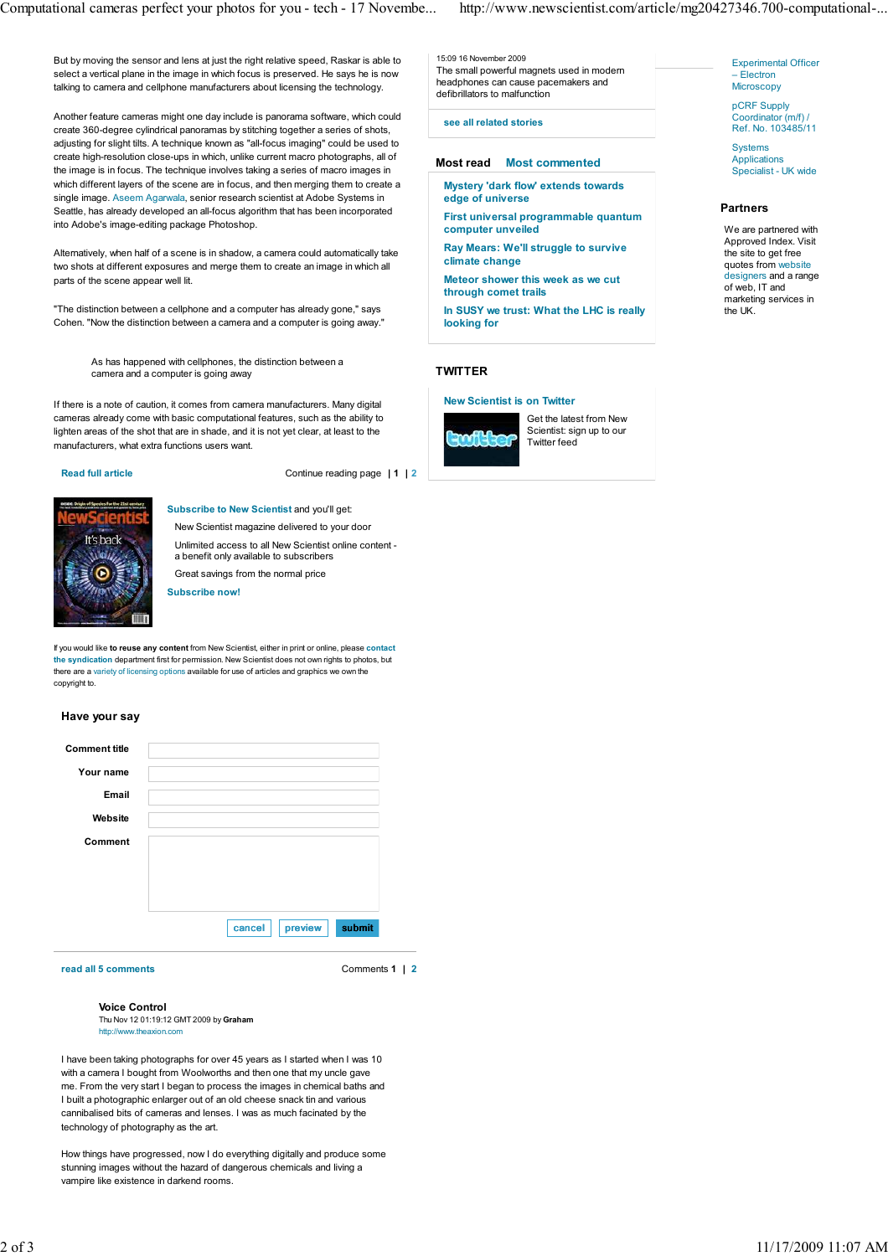But by moving the sensor and lens at just the right relative speed, Raskar is able to select a vertical plane in the image in which focus is preserved. He says he is now talking to camera and cellphone manufacturers about licensing the technology.

Another feature cameras might one day include is panorama software, which could create 360-degree cylindrical panoramas by stitching together a series of shots, adjusting for slight tilts. A technique known as "all-focus imaging" could be used to create high-resolution close-ups in which, unlike current macro photographs, all of the image is in focus. The technique involves taking a series of macro images in which different layers of the scene are in focus, and then merging them to create a single image. Aseem Agarwala, senior research scientist at Adobe Systems in Seattle, has already developed an all-focus algorithm that has been incorporated into Adobe's image-editing package Photoshop.

Alternatively, when half of a scene is in shadow, a camera could automatically take two shots at different exposures and merge them to create an image in which all parts of the scene appear well lit.

"The distinction between a cellphone and a computer has already gone," says Cohen. "Now the distinction between a camera and a computer is going away."

> As has happened with cellphones, the distinction between a camera and a computer is going away

If there is a note of caution, it comes from camera manufacturers. Many digital cameras already come with basic computational features, such as the ability to lighten areas of the shot that are in shade, and it is not yet clear, at least to the manufacturers, what extra functions users want.

**Read full article** Continue reading page **| 1 | 2**



**Subscribe to New Scientist** and you'll get:

New Scientist magazine delivered to your door Unlimited access to all New Scientist online content a benefit only available to subscribers Great savings from the normal price

**Subscribe now!**

If you would like **to reuse any content** from New Scientist, either in print or online, please **contact the syndication** department first for permission. New Scientist does not own rights to photos, but there are a variety of licensing options available for use of articles and graphics we own the copyright to.

#### **Have your say**

| <b>Comment title</b> |                             |
|----------------------|-----------------------------|
| Your name            |                             |
| <b>Email</b>         |                             |
| Website              |                             |
| Comment              |                             |
|                      |                             |
|                      |                             |
|                      |                             |
|                      | submit<br>preview<br>cancel |

**read all 5 comments** Comments **1 | 2**

**Voice Control** Thu Nov 12 01:19:12 GMT 2009 by **Graham** w.theaxion.com

I have been taking photographs for over 45 years as I started when I was 10 with a camera I bought from Woolworths and then one that my uncle gave me. From the very start I began to process the images in chemical baths and I built a photographic enlarger out of an old cheese snack tin and various cannibalised bits of cameras and lenses. I was as much facinated by the technology of photography as the art.

How things have progressed, now I do everything digitally and produce some stunning images without the hazard of dangerous chemicals and living a vampire like existence in darkend rooms.

15:09 16 November 2009 The small powerful magnets used in modern headphones can cause pacemakers and defibrillators to malfunction

**see all related stories**

## **Most read Most commented**

**Mystery 'dark flow' extends towards edge of universe**

**First universal programmable quantum computer unveiled Ray Mears: We'll struggle to survive**

**climate change Meteor shower this week as we cut**

**through comet trails**

**In SUSY we trust: What the LHC is really looking for**

# **TWITTER**

## **New Scientist is on Twitter**



Get the latest from New Scientist: sign up to our Twitter feed

Experimental Officer – Electron **Microscopy** 

pCRF Supply Coordinator (m/f) / Ref. No. 103485/11

**Systems** Applications Specialist - UK wide

#### **Partners**

We are partnered with Approved Index. Visit the site to get free quotes from website designers and a range of web, IT and marketing services in the UK.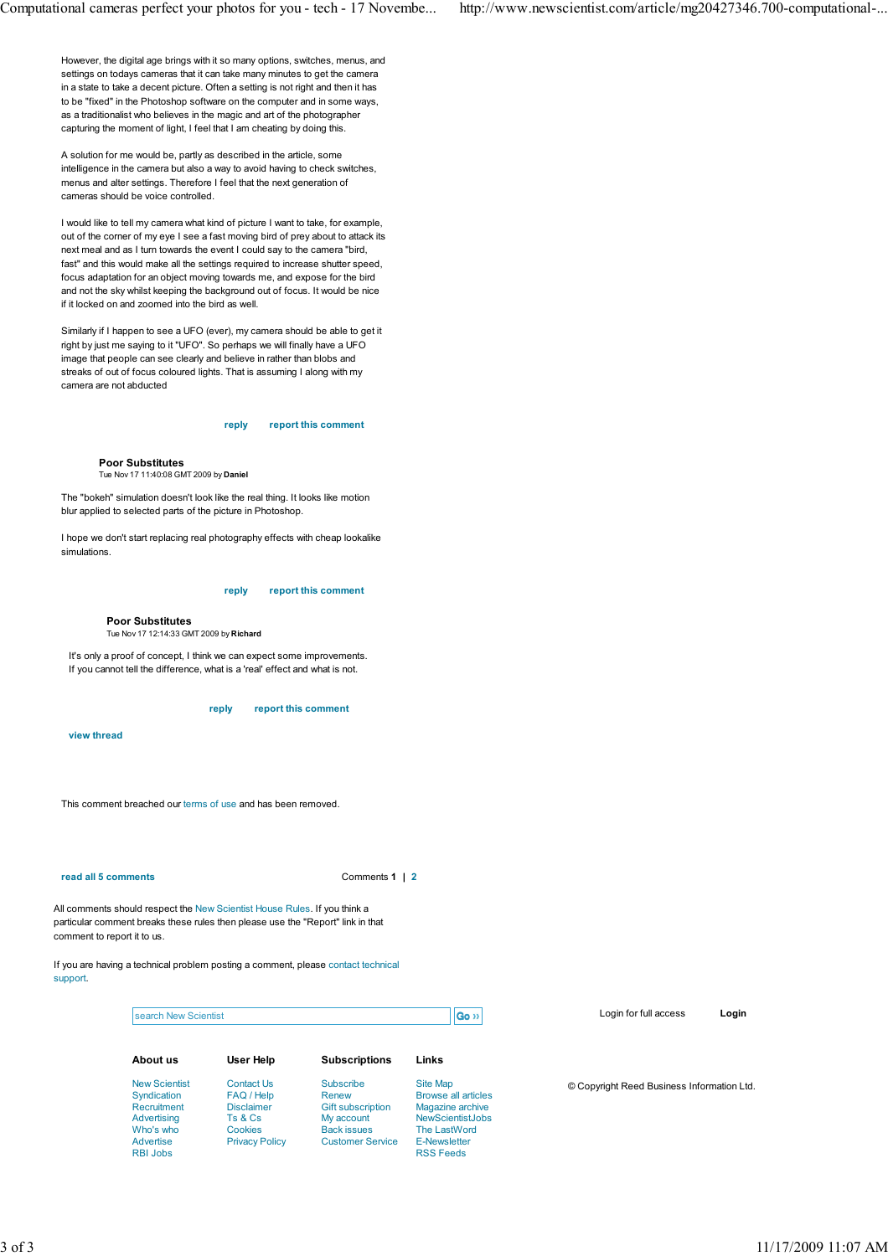However, the digital age brings with it so many options, switches, menus, and settings on todays cameras that it can take many minutes to get the camera in a state to take a decent picture. Often a setting is not right and then it has to be "fixed" in the Photoshop software on the computer and in some ways, as a traditionalist who believes in the magic and art of the photographer capturing the moment of light, I feel that I am cheating by doing this.

A solution for me would be, partly as described in the article, some intelligence in the camera but also a way to avoid having to check switches, menus and alter settings. Therefore I feel that the next generation of cameras should be voice controlled.

I would like to tell my camera what kind of picture I want to take, for example, out of the corner of my eye I see a fast moving bird of prey about to attack its next meal and as I turn towards the event I could say to the camera "bird, fast" and this would make all the settings required to increase shutter speed, focus adaptation for an object moving towards me, and expose for the bird and not the sky whilst keeping the background out of focus. It would be nice if it locked on and zoomed into the bird as well.

Similarly if I happen to see a UFO (ever), my camera should be able to get it right by just me saying to it "UFO". So perhaps we will finally have a UFO image that people can see clearly and believe in rather than blobs and streaks of out of focus coloured lights. That is assuming I along with my camera are not abducted

#### **reply report this comment**

#### **Poor Substitutes**

Tue Nov 17 11:40:08 GMT 2009 by **Daniel**

The "bokeh" simulation doesn't look like the real thing. It looks like motion blur applied to selected parts of the picture in Photoshop.

I hope we don't start replacing real photography effects with cheap lookalike simulations.

#### **reply report this comment**

#### **Poor Substitutes**

Tue Nov 17 12:14:33 GMT 2009 by **Richard**

It's only a proof of concept, I think we can expect some improvements. If you cannot tell the difference, what is a 'real' effect and what is not.

**reply report this comment**

**view thread**

This comment breached our terms of use and has been removed.

#### **read all 5 comments 1 | 2**

All comments should respect the New Scientist House Rules. If you think a particular comment breaks these rules then please use the "Report" link in that comment to report it to us.

If you are having a technical problem posting a comment, please contact technical support.

| Go <sup>33</sup><br>search New Scientist |                       |                          |                            | Login for full access                      | Login |
|------------------------------------------|-----------------------|--------------------------|----------------------------|--------------------------------------------|-------|
| About us                                 | User Help             | <b>Subscriptions</b>     | Links                      |                                            |       |
| <b>New Scientist</b>                     | Contact Us            | Subscribe                | Site Map                   | © Copyright Reed Business Information Ltd. |       |
| Syndication                              | FAQ / Help            | Renew                    | <b>Browse all articles</b> |                                            |       |
| Recruitment                              | <b>Disclaimer</b>     | <b>Gift subscription</b> | Magazine archive           |                                            |       |
| Advertising                              | Ts & Cs               | My account               | <b>NewScientistJobs</b>    |                                            |       |
| Who's who                                | Cookies               | <b>Back issues</b>       | The LastWord               |                                            |       |
| Advertise                                | <b>Privacy Policy</b> | <b>Customer Service</b>  | <b>E-Newsletter</b>        |                                            |       |
| <b>RBI Jobs</b>                          |                       |                          | <b>RSS Feeds</b>           |                                            |       |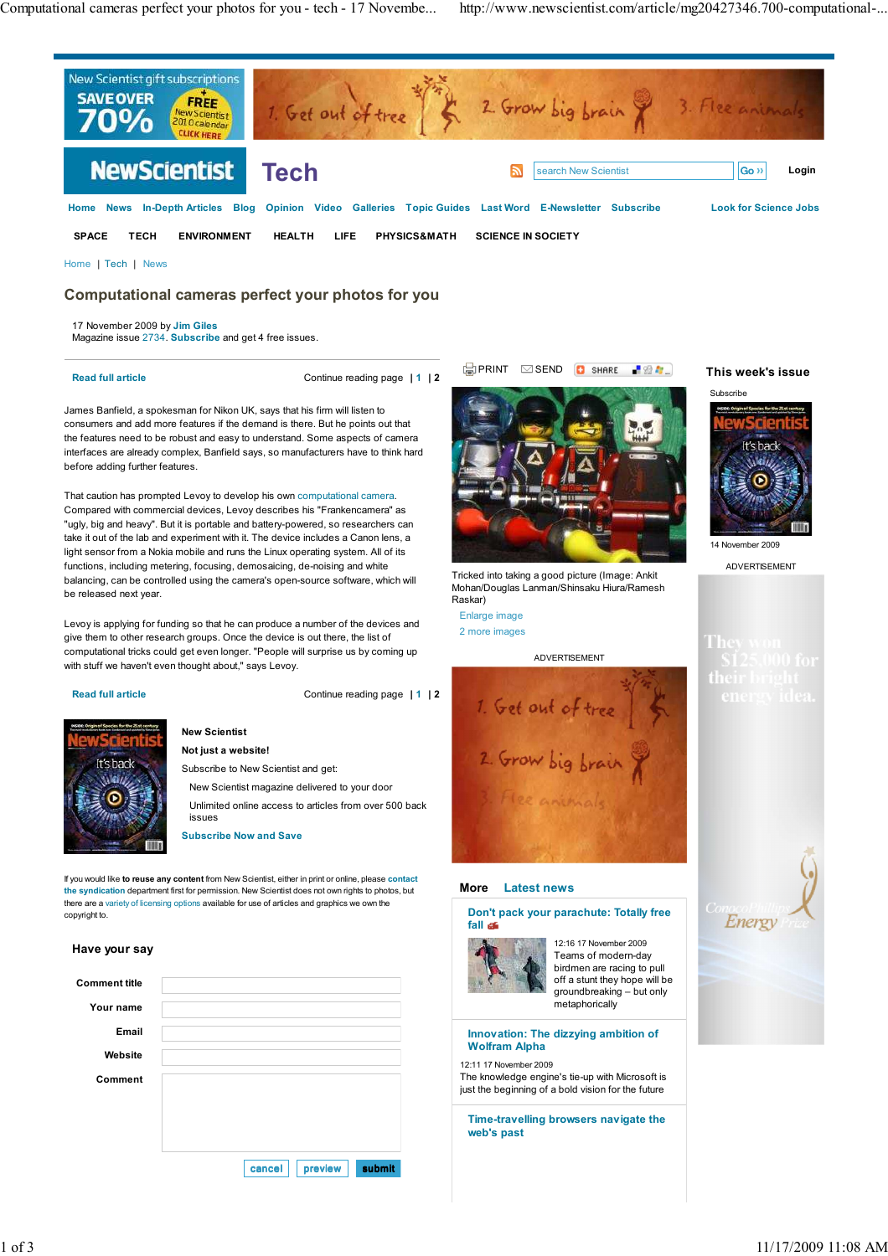

Home | Tech | News

# **Computational cameras perfect your photos for you**

17 November 2009 by **Jim Giles** Magazine issue 2734. **Subscribe** and get 4 free issues.

**Read full article** Continue reading page **| 1 | 2**

James Banfield, a spokesman for Nikon UK, says that his firm will listen to consumers and add more features if the demand is there. But he points out that the features need to be robust and easy to understand. Some aspects of camera interfaces are already complex, Banfield says, so manufacturers have to think hard before adding further features.

That caution has prompted Levoy to develop his own computational camera. Compared with commercial devices, Levoy describes his "Frankencamera" as "ugly, big and heavy". But it is portable and battery-powered, so researchers can take it out of the lab and experiment with it. The device includes a Canon lens, a light sensor from a Nokia mobile and runs the Linux operating system. All of its functions, including metering, focusing, demosaicing, de-noising and white balancing, can be controlled using the camera's open-source software, which will be released next year.

Levoy is applying for funding so that he can produce a number of the devices and give them to other research groups. Once the device is out there, the list of computational tricks could get even longer. "People will surprise us by coming up with stuff we haven't even thought about," says Levoy.

**Read full article** Continue reading page **| 1 | 2**



## **New Scientist Not just a website!**

Subscribe to New Scientist and get:

New Scientist magazine delivered to your door

Unlimited online access to articles from over 500 back issues

**Subscribe Now and Save**

If you would like **to reuse any content** from New Scientist, either in print or online, please **contact the syndication** department first for permission. New Scientist does not own rights to photos, but there are a variety of licensing options available for use of articles and graphics we own the copyright to.

#### **Have your say**

| <b>Comment title</b> |                             |
|----------------------|-----------------------------|
| Your name            |                             |
| Email                |                             |
| Website              |                             |
| Comment              |                             |
|                      |                             |
|                      |                             |
|                      |                             |
|                      | submit<br>cancel<br>preview |



BPRINT SEND OSHARE P27

Tricked into taking a good picture (Image: Ankit Mohan/Douglas Lanman/Shinsaku Hiura/Ramesh Raskar)

### Enlarge image 2 more images

ADVERTISEMENT



### **More Latest news**

#### **Don't pack your parachute: Totally free fall**



12:16 17 November 2009 Teams of modern-day birdmen are racing to pull off a stunt they hope will be groundbreaking – but only metaphorically

#### **Innovation: The dizzying ambition of Wolfram Alpha**

12:11 17 November 2009

The knowledge engine's tie-up with Microsoft is just the beginning of a bold vision for the future

**Time-travelling browsers navigate the web's past**

## **This week's issue**



ADVERTISEMENT

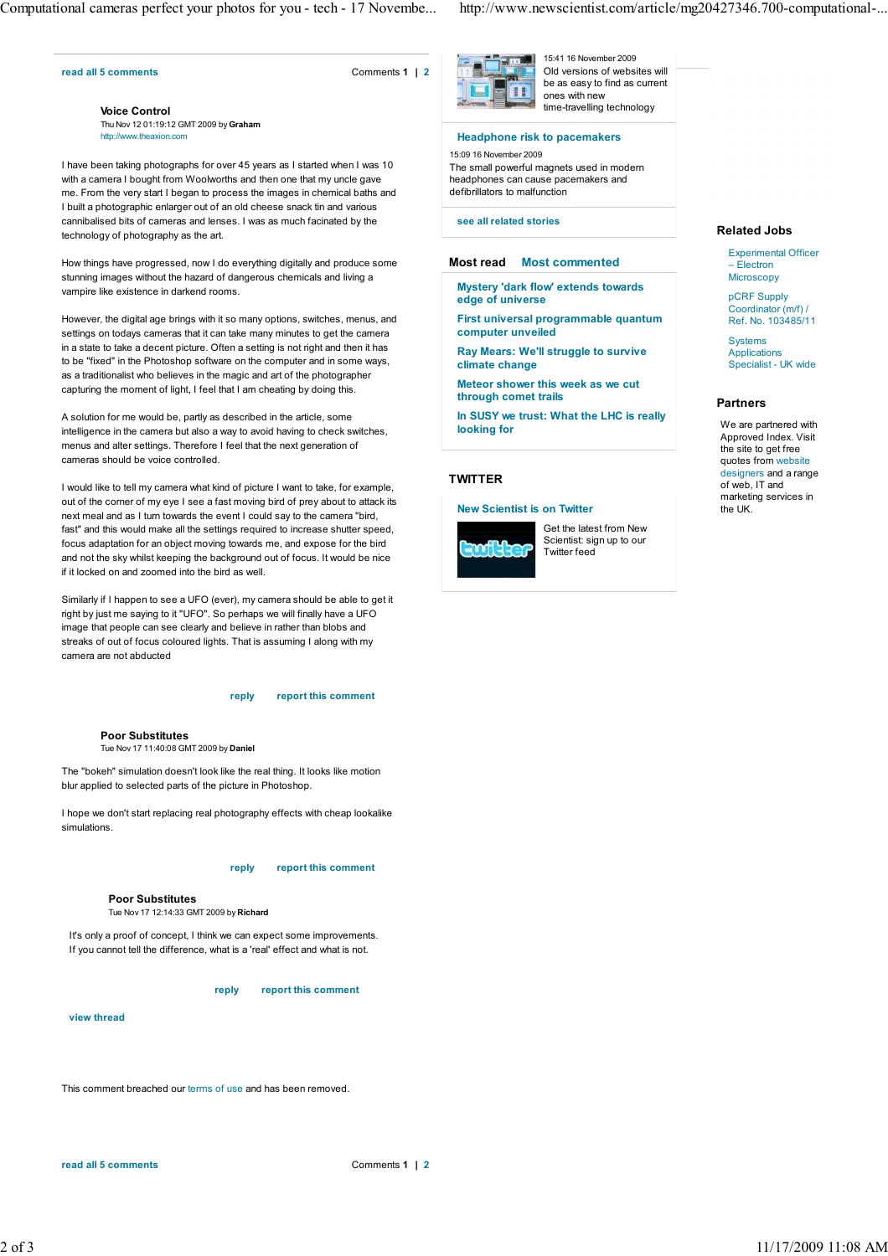#### **read all 5 comments** Comments **1 | 2**

**Voice Control** Thu Nov 12 01:19:12 GMT 2009 by **Graham** http://www.theaxion.com

I have been taking photographs for over 45 years as I started when I was 10 with a camera I bought from Woolworths and then one that my uncle gave me. From the very start I began to process the images in chemical baths and I built a photographic enlarger out of an old cheese snack tin and various cannibalised bits of cameras and lenses. I was as much facinated by the technology of photography as the art.

How things have progressed, now I do everything digitally and produce some stunning images without the hazard of dangerous chemicals and living a vampire like existence in darkend rooms.

However, the digital age brings with it so many options, switches, menus, and settings on todays cameras that it can take many minutes to get the camera in a state to take a decent picture. Often a setting is not right and then it has to be "fixed" in the Photoshop software on the computer and in some ways, as a traditionalist who believes in the magic and art of the photographer capturing the moment of light, I feel that I am cheating by doing this.

A solution for me would be, partly as described in the article, some intelligence in the camera but also a way to avoid having to check switches, menus and alter settings. Therefore I feel that the next generation of cameras should be voice controlled.

I would like to tell my camera what kind of picture I want to take, for example, out of the corner of my eye I see a fast moving bird of prey about to attack its next meal and as I turn towards the event I could say to the camera "bird, fast" and this would make all the settings required to increase shutter speed, focus adaptation for an object moving towards me, and expose for the bird and not the sky whilst keeping the background out of focus. It would be nice if it locked on and zoomed into the bird as well.

Similarly if I happen to see a UFO (ever), my camera should be able to get it right by just me saying to it "UFO". So perhaps we will finally have a UFO image that people can see clearly and believe in rather than blobs and streaks of out of focus coloured lights. That is assuming I along with my camera are not abducted

#### **reply report this comment**

**Poor Substitutes** Tue Nov 17 11:40:08 GMT 2009 by **Daniel**

The "bokeh" simulation doesn't look like the real thing. It looks like motion blur applied to selected parts of the picture in Photoshop.

I hope we don't start replacing real photography effects with cheap lookalike simulations.

#### **reply report this comment**

**Poor Substitutes** Tue Nov 17 12:14:33 GMT 2009 by **Richard**

It's only a proof of concept, I think we can expect some improvements. If you cannot tell the difference, what is a 'real' effect and what is not.

**reply report this comment**

**view thread**

This comment breached our terms of use and has been removed.

Computational cameras perfect your photos for you - tech - 17 Novembe... http://www.newscientist.com/article/mg20427346.700-computational-...



15:41 16 November 2009 Old versions of websites will be as easy to find as current ones with new time-travelling technology

**Headphone risk to pacemakers**

## 15:09 16 November 2009

The small powerful magnets used in modern headphones can cause pacemakers and defibrillators to malfunction

**see all related stories**

### **Most read Most commented**

**Mystery 'dark flow' extends towards edge of universe**

**First universal programmable quantum computer unveiled**

**Ray Mears: We'll struggle to survive climate change**

**Meteor shower this week as we cut through comet trails**

**In SUSY we trust: What the LHC is really looking for**

## **TWITTER**

## **New Scientist is on Twitter**



Get the latest from New Scientist: sign up to our Twitter feed

#### **Related Jobs**

Experimental Officer – Electron **Microscopy** 

pCRF Supply Coordinator (m/f) / Ref. No. 103485/11

**Systems** Applications Specialist - UK wide

## **Partners**

We are partnered with Approved Index. Visit the site to get free quotes from website designers and a range of web, IT and marketing services in the UK.